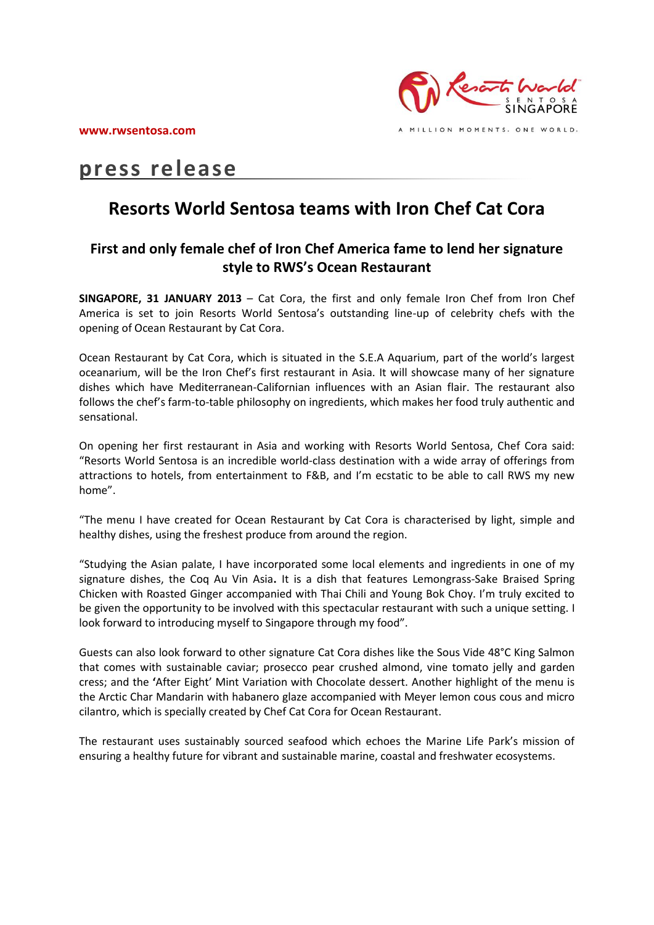**www.rwsentosa.com**



# **press release**

## **Resorts World Sentosa teams with Iron Chef Cat Cora**

### **First and only female chef of Iron Chef America fame to lend her signature style to RWS's Ocean Restaurant**

**SINGAPORE, 31 JANUARY 2013** – Cat Cora, the first and only female Iron Chef from Iron Chef America is set to join Resorts World Sentosa's outstanding line-up of celebrity chefs with the opening of Ocean Restaurant by Cat Cora.

Ocean Restaurant by Cat Cora, which is situated in the S.E.A Aquarium, part of the world's largest oceanarium, will be the Iron Chef's first restaurant in Asia. It will showcase many of her signature dishes which have Mediterranean-Californian influences with an Asian flair. The restaurant also follows the chef's farm-to-table philosophy on ingredients, which makes her food truly authentic and sensational.

On opening her first restaurant in Asia and working with Resorts World Sentosa, Chef Cora said: "Resorts World Sentosa is an incredible world-class destination with a wide array of offerings from attractions to hotels, from entertainment to F&B, and I'm ecstatic to be able to call RWS my new home".

"The menu I have created for Ocean Restaurant by Cat Cora is characterised by light, simple and healthy dishes, using the freshest produce from around the region.

"Studying the Asian palate, I have incorporated some local elements and ingredients in one of my signature dishes, the Coq Au Vin Asia**.** It is a dish that features Lemongrass-Sake Braised Spring Chicken with Roasted Ginger accompanied with Thai Chili and Young Bok Choy. I'm truly excited to be given the opportunity to be involved with this spectacular restaurant with such a unique setting. I look forward to introducing myself to Singapore through my food".

Guests can also look forward to other signature Cat Cora dishes like the Sous Vide 48°C King Salmon that comes with sustainable caviar; prosecco pear crushed almond, vine tomato jelly and garden cress; and the **'**After Eight' Mint Variation with Chocolate dessert. Another highlight of the menu is the Arctic Char Mandarin with habanero glaze accompanied with Meyer lemon cous cous and micro cilantro, which is specially created by Chef Cat Cora for Ocean Restaurant.

The restaurant uses sustainably sourced seafood which echoes the Marine Life Park's mission of ensuring a healthy future for vibrant and sustainable marine, coastal and freshwater ecosystems.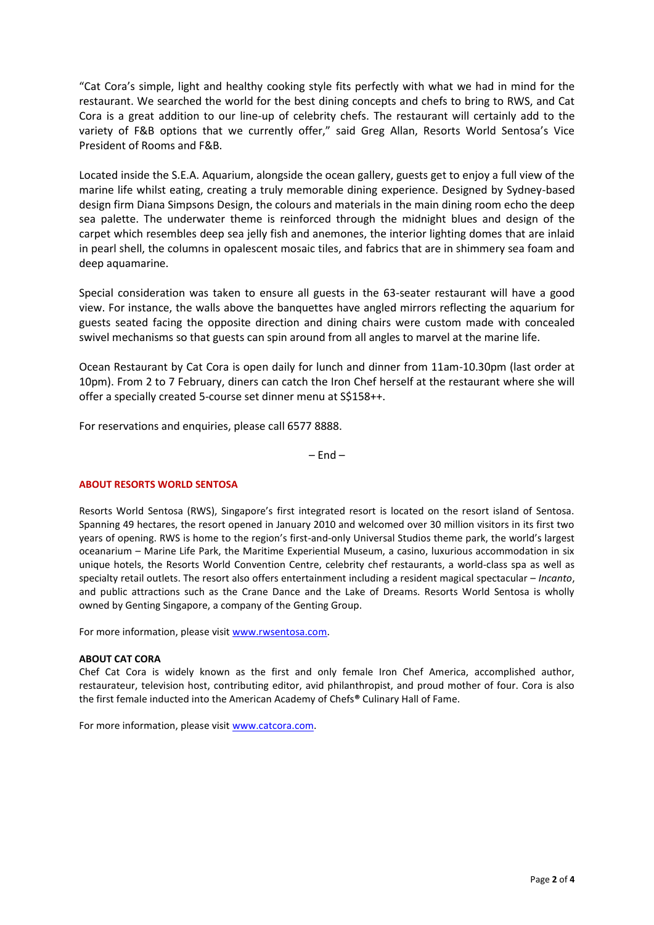"Cat Cora's simple, light and healthy cooking style fits perfectly with what we had in mind for the restaurant. We searched the world for the best dining concepts and chefs to bring to RWS, and Cat Cora is a great addition to our line-up of celebrity chefs. The restaurant will certainly add to the variety of F&B options that we currently offer," said Greg Allan, Resorts World Sentosa's Vice President of Rooms and F&B.

Located inside the S.E.A. Aquarium, alongside the ocean gallery, guests get to enjoy a full view of the marine life whilst eating, creating a truly memorable dining experience. Designed by Sydney-based design firm Diana Simpsons Design, the colours and materials in the main dining room echo the deep sea palette. The underwater theme is reinforced through the midnight blues and design of the carpet which resembles deep sea jelly fish and anemones, the interior lighting domes that are inlaid in pearl shell, the columns in opalescent mosaic tiles, and fabrics that are in shimmery sea foam and deep aquamarine.

Special consideration was taken to ensure all guests in the 63-seater restaurant will have a good view. For instance, the walls above the banquettes have angled mirrors reflecting the aquarium for guests seated facing the opposite direction and dining chairs were custom made with concealed swivel mechanisms so that guests can spin around from all angles to marvel at the marine life.

Ocean Restaurant by Cat Cora is open daily for lunch and dinner from 11am-10.30pm (last order at 10pm). From 2 to 7 February, diners can catch the Iron Chef herself at the restaurant where she will offer a specially created 5-course set dinner menu at S\$158++.

For reservations and enquiries, please call 6577 8888.

 $-$  End  $-$ 

#### **ABOUT RESORTS WORLD SENTOSA**

Resorts World Sentosa (RWS), Singapore's first integrated resort is located on the resort island of Sentosa. Spanning 49 hectares, the resort opened in January 2010 and welcomed over 30 million visitors in its first two years of opening. RWS is home to the region's first-and-only Universal Studios theme park, the world's largest oceanarium – Marine Life Park, the Maritime Experiential Museum, a casino, luxurious accommodation in six unique hotels, the Resorts World Convention Centre, celebrity chef restaurants, a world-class spa as well as specialty retail outlets. The resort also offers entertainment including a resident magical spectacular – *Incanto*, and public attractions such as the Crane Dance and the Lake of Dreams. Resorts World Sentosa is wholly owned by Genting Singapore, a company of the Genting Group.

For more information, please visit [www.rwsentosa.com.](http://www.rwsentosa.com/)

#### **ABOUT CAT CORA**

Chef Cat Cora is widely known as the first and only female Iron Chef America, accomplished author, restaurateur, television host, contributing editor, avid philanthropist, and proud mother of four. Cora is also the first female inducted into the American Academy of Chefs**®** Culinary Hall of Fame.

For more information, please visit [www.catcora.com.](http://www.catcora.com/)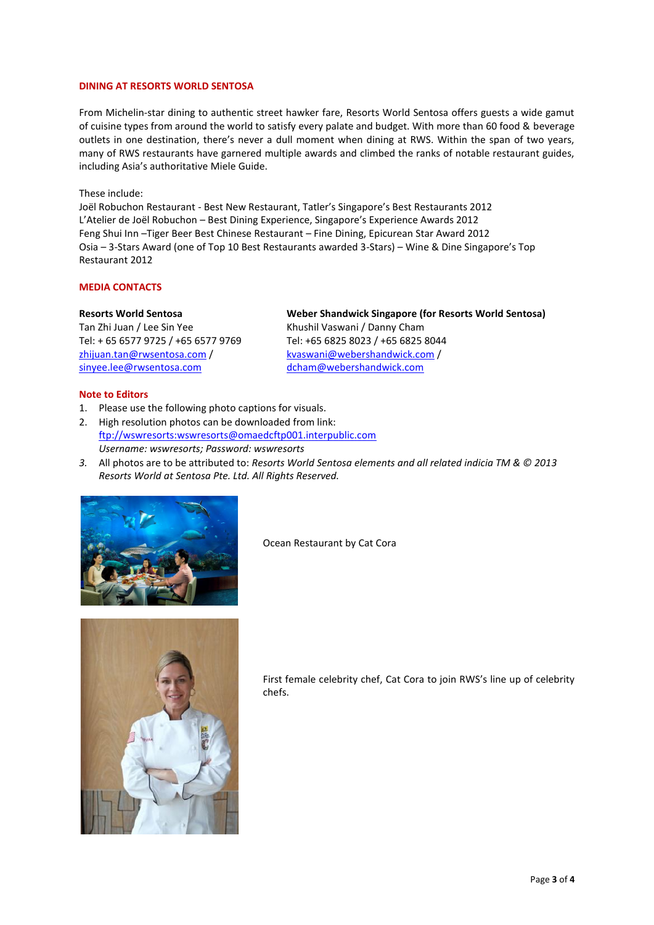#### **DINING AT RESORTS WORLD SENTOSA**

From Michelin-star dining to authentic street hawker fare, Resorts World Sentosa offers guests a wide gamut of cuisine types from around the world to satisfy every palate and budget. With more than 60 food & beverage outlets in one destination, there's never a dull moment when dining at RWS. Within the span of two years, many of RWS restaurants have garnered multiple awards and climbed the ranks of notable restaurant guides, including Asia's authoritative Miele Guide.

#### These include:

Joël Robuchon Restaurant - Best New Restaurant, Tatler's Singapore's Best Restaurants 2012 L'Atelier de Joël Robuchon – Best Dining Experience, Singapore's Experience Awards 2012 Feng Shui Inn –Tiger Beer Best Chinese Restaurant – Fine Dining, Epicurean Star Award 2012 Osia – 3-Stars Award (one of Top 10 Best Restaurants awarded 3-Stars) – Wine & Dine Singapore's Top Restaurant 2012

#### **MEDIA CONTACTS**

#### **Resorts World Sentosa**

Tan Zhi Juan / Lee Sin Yee Tel: + 65 6577 9725 / +65 6577 9769 [zhijuan.tan@rwsentosa.com](mailto:zhijuan.tan@rwsentosa.com) / [sinyee.lee@rwsentosa.com](mailto:sinyee.lee@rwsentosa.com) 

#### **Weber Shandwick Singapore (for Resorts World Sentosa)**  Khushil Vaswani / Danny Cham Tel: +65 6825 8023 / +65 6825 8044 [kvaswani@webershandwick.com](mailto:kvaswani@webershandwick.com) / [dcham@webershandwick.com](mailto:dcham@webershandwick.com)

#### **Note to Editors**

- 1. Please use the following photo captions for visuals.
- 2. High resolution photos can be downloaded from link: [ftp://wswresorts:wswresorts@omaedcftp001.interpublic.com](ftp://wswresorts:wswresorts@omaedcftp001.interpublic.com/) *Username: wswresorts; Password: wswresorts*
- *3.* All photos are to be attributed to: *Resorts World Sentosa elements and all related indicia TM & © 2013 Resorts World at Sentosa Pte. Ltd. All Rights Reserved.*



Ocean Restaurant by Cat Cora



First female celebrity chef, Cat Cora to join RWS's line up of celebrity chefs.